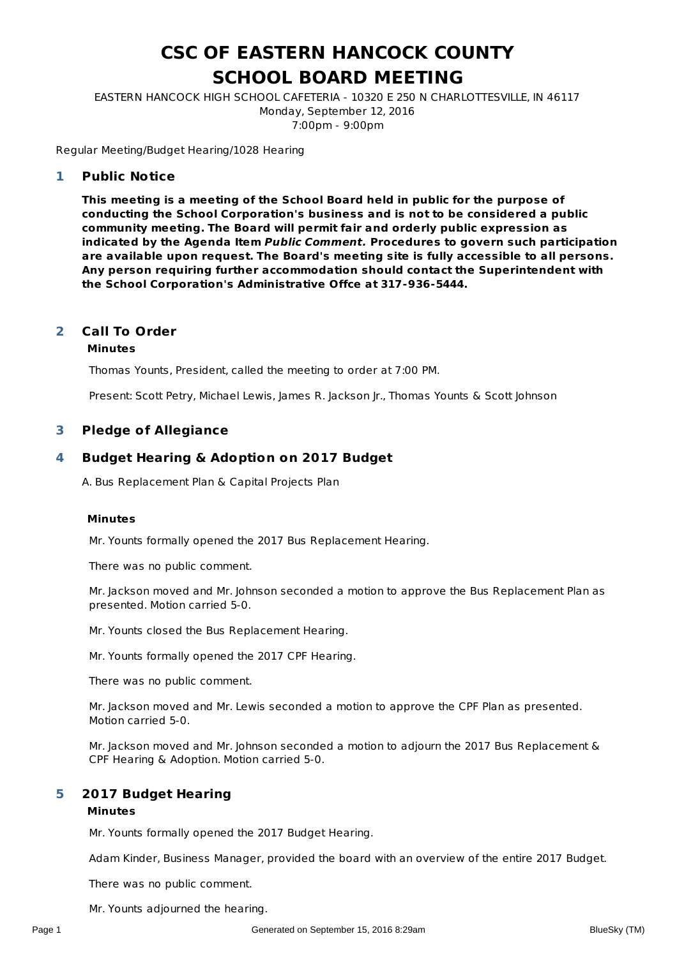# **CSC OF EASTERN HANCOCK COUNTY SCHOOL BOARD MEETING**

EASTERN HANCOCK HIGH SCHOOL CAFETERIA - 10320 E 250 N CHARLOTTESVILLE, IN 46117 Monday, September 12, 2016 7:00pm - 9:00pm

Regular Meeting/Budget Hearing/1028 Hearing

#### **Public Notice 1**

**This meeting is a meeting of the School Board held in public for the purpose of conducting the School Corporation's business and is not to be considered a public community meeting. The Board will permit fair and orderly public expression as indicated by the Agenda Item Public Comment. Procedures to govern such participation are available upon request. The Board's meeting site is fully accessible to all persons. Any person requiring further accommodation should contact the Superintendent with the School Corporation's Administrative Offce at 317-936-5444.**

#### **Call To Order 2**

#### **Minutes**

Thomas Younts, President, called the meeting to order at 7:00 PM.

Present: Scott Petry, Michael Lewis, James R. Jackson Jr., Thomas Younts & Scott Johnson

#### **3 Pledge of Allegiance**

#### **Budget Hearing & Adoption on 2017 Budget 4**

A. Bus Replacement Plan & Capital Projects Plan

#### **Minutes**

Mr. Younts formally opened the 2017 Bus Replacement Hearing.

There was no public comment.

Mr. Jackson moved and Mr. Johnson seconded a motion to approve the Bus Replacement Plan as presented. Motion carried 5-0.

Mr. Younts closed the Bus Replacement Hearing.

Mr. Younts formally opened the 2017 CPF Hearing.

There was no public comment.

Mr. Jackson moved and Mr. Lewis seconded a motion to approve the CPF Plan as presented. Motion carried 5-0.

Mr. Jackson moved and Mr. Johnson seconded a motion to adjourn the 2017 Bus Replacement & CPF Hearing & Adoption. Motion carried 5-0.

#### **2017 Budget Hearing 5**

#### **Minutes**

Mr. Younts formally opened the 2017 Budget Hearing.

Adam Kinder, Business Manager, provided the board with an overview of the entire 2017 Budget.

There was no public comment.

Mr. Younts adjourned the hearing.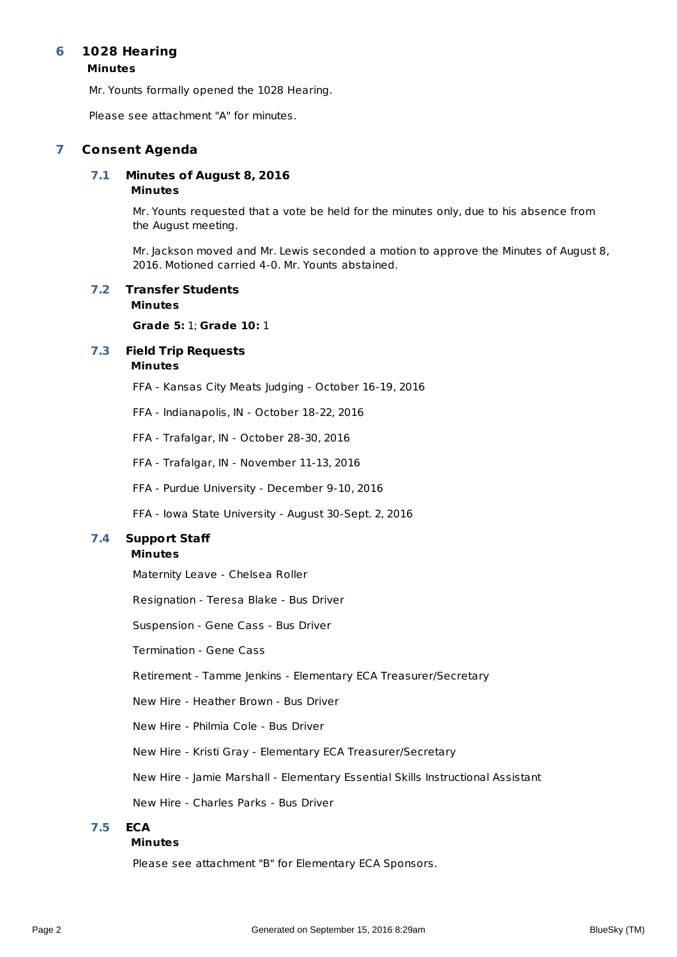#### **1028 Hearing 6**

### **Minutes**

Mr. Younts formally opened the 1028 Hearing.

Please see attachment "A" for minutes.

# **7 Consent Agenda**

### **Minutes 7.1 Minutes of August 8, 2016**

Mr. Younts requested that a vote be held for the minutes only, due to his absence from the August meeting.

Mr. Jackson moved and Mr. Lewis seconded a motion to approve the Minutes of August 8, 2016. Motioned carried 4-0. Mr. Younts abstained.

#### **Minutes 7.2 Transfer Students**

**Grade 5:** 1; **Grade 10:** 1

#### **Minutes 7.3 Field Trip Requests**

- FFA Kansas City Meats Judging October 16-19, 2016
- FFA Indianapolis, IN October 18-22, 2016
- FFA Trafalgar, IN October 28-30, 2016
- FFA Trafalgar, IN November 11-13, 2016
- FFA Purdue University December 9-10, 2016
- FFA Iowa State University August 30-Sept. 2, 2016

# **7.4 Support Staff**

#### **Minutes**

Maternity Leave - Chelsea Roller

Resignation - Teresa Blake - Bus Driver

Suspension - Gene Cass - Bus Driver

Termination - Gene Cass

Retirement - Tamme Jenkins - Elementary ECA Treasurer/Secretary

New Hire - Heather Brown - Bus Driver

New Hire - Philmia Cole - Bus Driver

New Hire - Kristi Gray - Elementary ECA Treasurer/Secretary

New Hire - Jamie Marshall - Elementary Essential Skills Instructional Assistant

New Hire - Charles Parks - Bus Driver

#### **7.5 ECA**

#### **Minutes**

Please see attachment "B" for Elementary ECA Sponsors.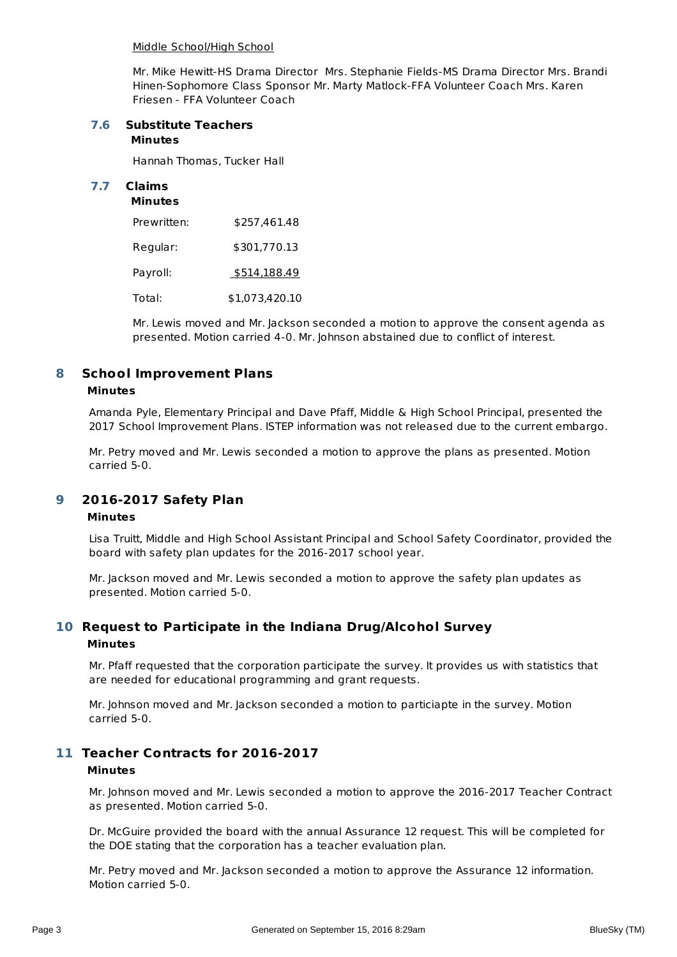#### Middle School/High School

Mr. Mike Hewitt-HS Drama Director Mrs. Stephanie Fields-MS Drama Director Mrs. Brandi Hinen-Sophomore Class Sponsor Mr. Marty Matlock-FFA Volunteer Coach Mrs. Karen Friesen - FFA Volunteer Coach

### **Minutes 7.6 Substitute Teachers**

Hannah Thomas, Tucker Hall

# **7.7 Claims**

#### **Minutes**

| Prewritten: | \$257,461.48   |
|-------------|----------------|
| Regular:    | \$301,770.13   |
| Payroll:    | \$514,188.49   |
| Total:      | \$1,073,420.10 |

Mr. Lewis moved and Mr. Jackson seconded a motion to approve the consent agenda as presented. Motion carried 4-0. Mr. Johnson abstained due to conflict of interest.

#### **School Improvement Plans 8**

#### **Minutes**

Amanda Pyle, Elementary Principal and Dave Pfaff, Middle & High School Principal, presented the 2017 School Improvement Plans. ISTEP information was not released due to the current embargo.

Mr. Petry moved and Mr. Lewis seconded a motion to approve the plans as presented. Motion carried 5-0.

#### **2016-2017 Safety Plan 9**

#### **Minutes**

Lisa Truitt, Middle and High School Assistant Principal and School Safety Coordinator, provided the board with safety plan updates for the 2016-2017 school year.

Mr. Jackson moved and Mr. Lewis seconded a motion to approve the safety plan updates as presented. Motion carried 5-0.

# **Request to Participate in the Indiana Drug/Alcohol Survey 10 Minutes**

Mr. Pfaff requested that the corporation participate the survey. It provides us with statistics that are needed for educational programming and grant requests.

Mr. Johnson moved and Mr. Jackson seconded a motion to particiapte in the survey. Motion carried 5-0.

# **Teacher Contracts for 2016-2017 11**

#### **Minutes**

Mr. Johnson moved and Mr. Lewis seconded a motion to approve the 2016-2017 Teacher Contract as presented. Motion carried 5-0.

Dr. McGuire provided the board with the annual Assurance 12 request. This will be completed for the DOE stating that the corporation has a teacher evaluation plan.

Mr. Petry moved and Mr. Jackson seconded a motion to approve the Assurance 12 information. Motion carried 5-0.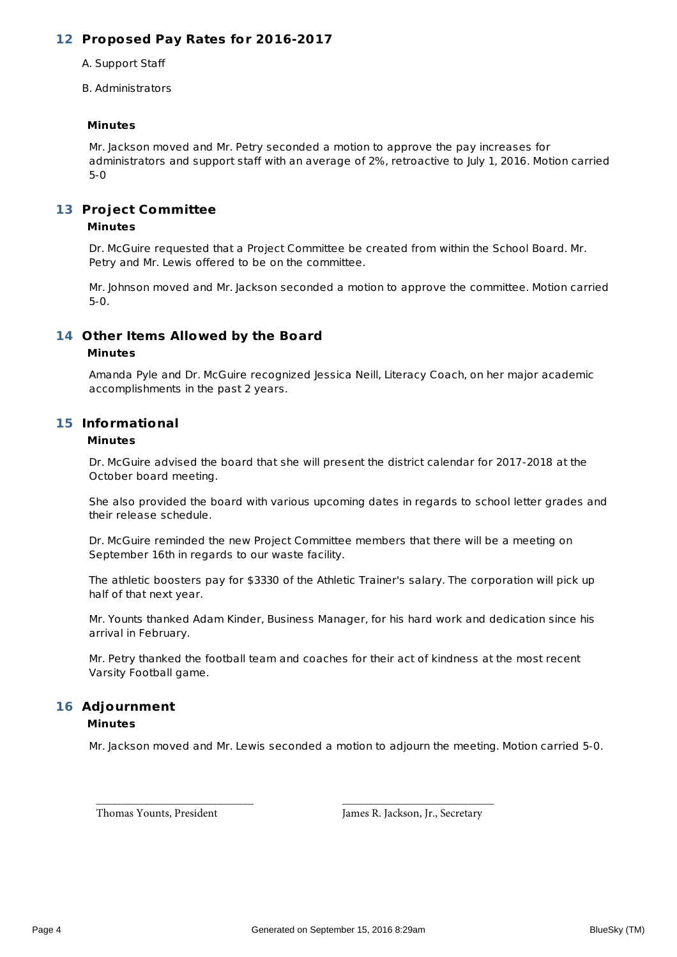# **Proposed Pay Rates for 2016-2017 12**

A. Support Staff

B. Administrators

#### **Minutes**

Mr. Jackson moved and Mr. Petry seconded a motion to approve the pay increases for administrators and support staff with an average of 2%, retroactive to July 1, 2016. Motion carried 5-0

# 13 Project Committee

### **Minutes**

Dr. McGuire requested that a Project Committee be created from within the School Board. Mr. Petry and Mr. Lewis offered to be on the committee.

Mr. Johnson moved and Mr. Jackson seconded a motion to approve the committee. Motion carried 5-0.

# **Other Items Allowed by the Board 14**

### **Minutes**

Amanda Pyle and Dr. McGuire recognized Jessica Neill, Literacy Coach, on her major academic accomplishments in the past 2 years.

# **Informational 15**

#### **Minutes**

Dr. McGuire advised the board that she will present the district calendar for 2017-2018 at the October board meeting.

She also provided the board with various upcoming dates in regards to school letter grades and their release schedule.

Dr. McGuire reminded the new Project Committee members that there will be a meeting on September 16th in regards to our waste facility.

The athletic boosters pay for \$3330 of the Athletic Trainer's salary. The corporation will pick up half of that next year.

Mr. Younts thanked Adam Kinder, Business Manager, for his hard work and dedication since his arrival in February.

Mr. Petry thanked the football team and coaches for their act of kindness at the most recent Varsity Football game.

### **Adjournment 16 Minutes**

Mr. Jackson moved and Mr. Lewis seconded a motion to adjourn the meeting. Motion carried 5-0.

\_\_\_\_\_\_\_\_\_\_\_\_\_\_\_\_\_\_\_\_\_\_\_\_\_\_\_\_\_\_ \_\_\_\_\_\_\_\_\_\_\_\_\_\_\_\_\_\_\_\_\_\_\_\_\_\_\_\_\_

Thomas Younts, President James R. Jackson, Jr., Secretary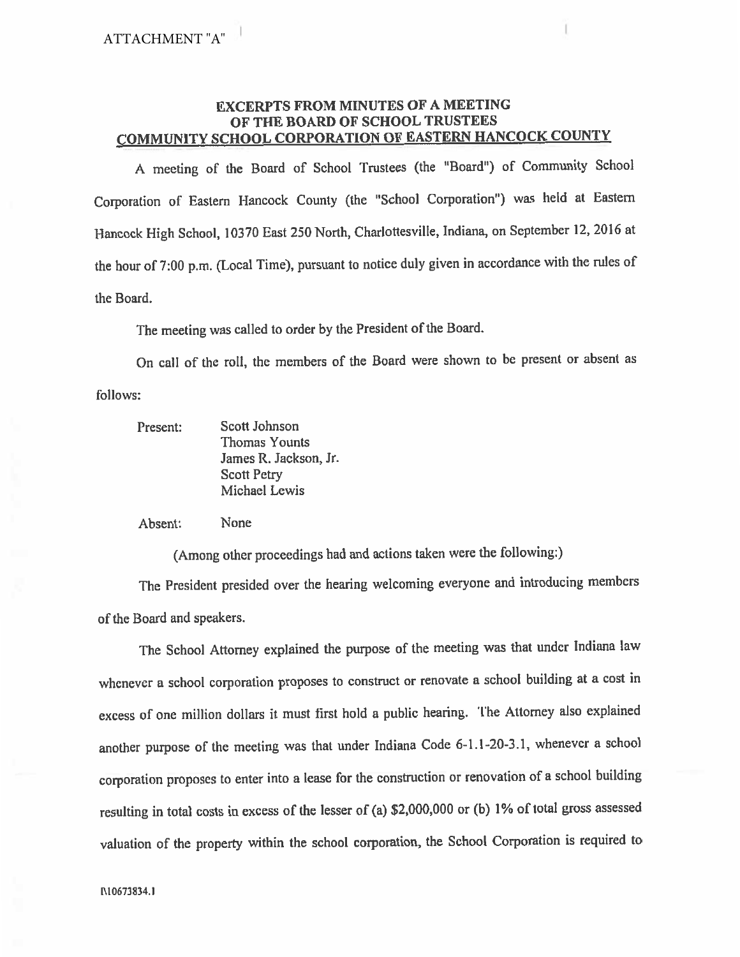# **EXCERPTS FROM MINUTES OF A MEETING** OF THE BOARD OF SCHOOL TRUSTEES **COMMUNITY SCHOOL CORPORATION OF EASTERN HANCOCK COUNTY**

A meeting of the Board of School Trustees (the "Board") of Community School Corporation of Eastern Hancock County (the "School Corporation") was held at Eastern Hancock High School, 10370 East 250 North, Charlottesville, Indiana, on September 12, 2016 at the hour of 7:00 p.m. (Local Time), pursuant to notice duly given in accordance with the rules of the Board.

The meeting was called to order by the President of the Board.

On call of the roll, the members of the Board were shown to be present or absent as follows:

| Present: | Scott Johnson        |
|----------|----------------------|
|          | <b>Thomas Younts</b> |
|          | James R. Jackson, Jr |
|          | <b>Scott Petry</b>   |
|          | Michael Lewis        |

Absent: None

(Among other proceedings had and actions taken were the following:)

The President presided over the hearing welcoming everyone and introducing members of the Board and speakers.

The School Attorney explained the purpose of the meeting was that under Indiana law whenever a school corporation proposes to construct or renovate a school building at a cost in excess of one million dollars it must first hold a public hearing. The Attorney also explained another purpose of the meeting was that under Indiana Code 6-1.1-20-3.1, whenever a school corporation proposes to enter into a lease for the construction or renovation of a school building resulting in total costs in excess of the lesser of (a) \$2,000,000 or (b) 1% of total gross assessed valuation of the property within the school corporation, the School Corporation is required to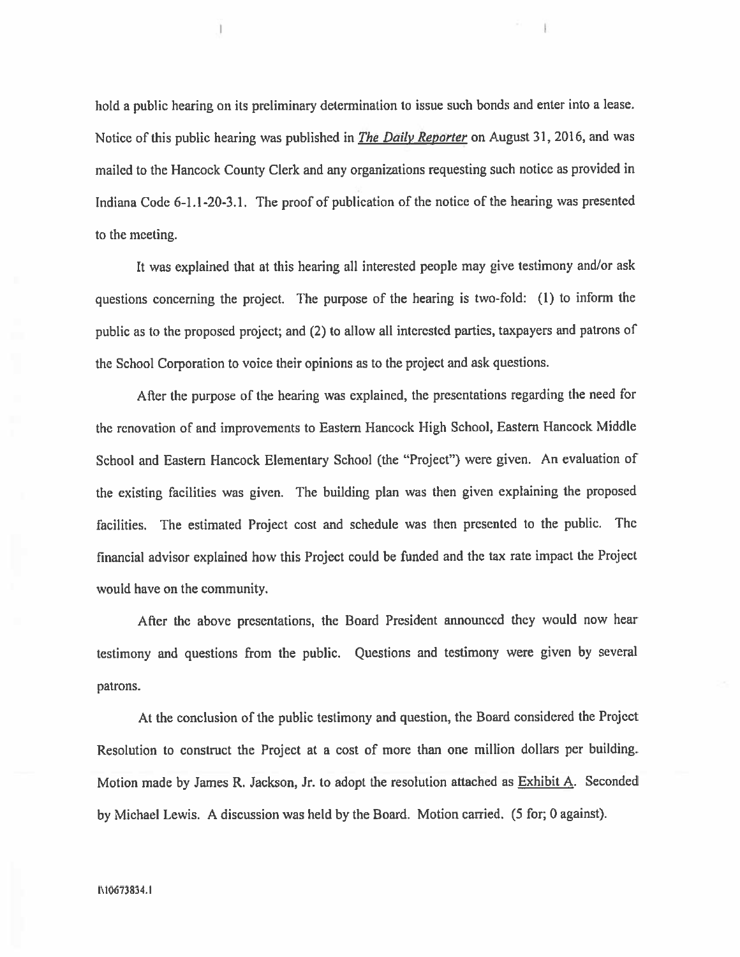hold a public hearing on its preliminary determination to issue such bonds and enter into a lease. Notice of this public hearing was published in *The Daily Reporter* on August 31, 2016, and was mailed to the Hancock County Clerk and any organizations requesting such notice as provided in Indiana Code 6-1.1-20-3.1. The proof of publication of the notice of the hearing was presented to the meeting.

It was explained that at this hearing all interested people may give testimony and/or ask questions concerning the project. The purpose of the hearing is two-fold: (1) to inform the public as to the proposed project; and (2) to allow all interested parties, taxpayers and patrons of the School Corporation to voice their opinions as to the project and ask questions.

After the purpose of the hearing was explained, the presentations regarding the need for the renovation of and improvements to Eastern Hancock High School, Eastern Hancock Middle School and Eastern Hancock Elementary School (the "Project") were given. An evaluation of the existing facilities was given. The building plan was then given explaining the proposed facilities. The estimated Project cost and schedule was then presented to the public. The financial advisor explained how this Project could be funded and the tax rate impact the Project would have on the community.

After the above presentations, the Board President announced they would now hear testimony and questions from the public. Questions and testimony were given by several patrons.

At the conclusion of the public testimony and question, the Board considered the Project Resolution to construct the Project at a cost of more than one million dollars per building. Motion made by James R. Jackson, Jr. to adopt the resolution attached as Exhibit A. Seconded by Michael Lewis. A discussion was held by the Board. Motion carried. (5 for; 0 against).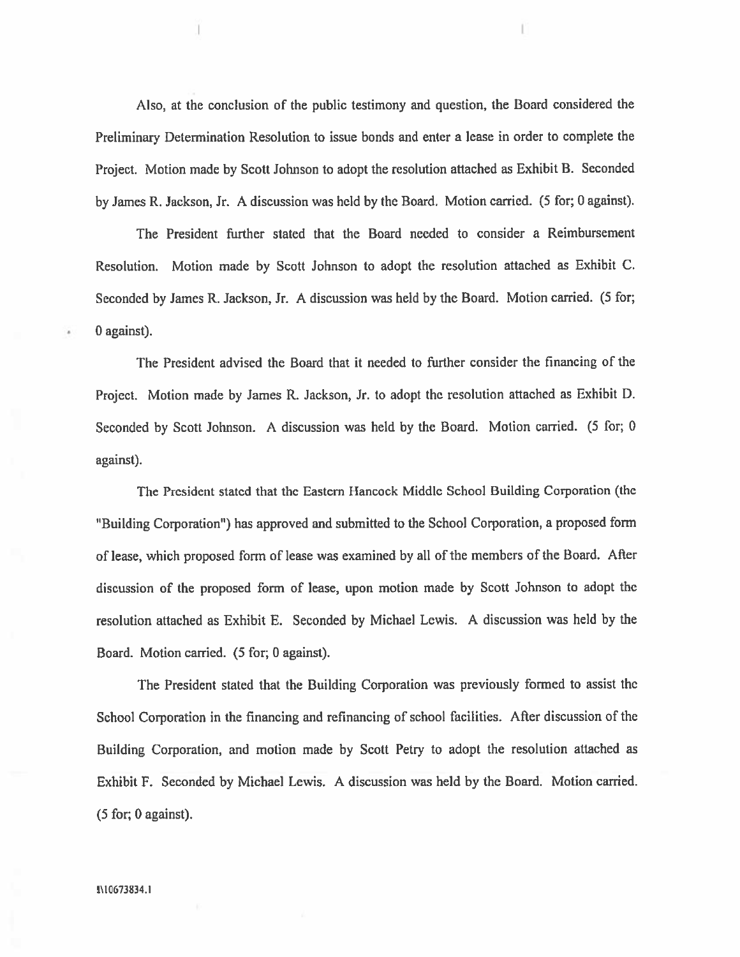Also, at the conclusion of the public testimony and question, the Board considered the Preliminary Determination Resolution to issue bonds and enter a lease in order to complete the Project. Motion made by Scott Johnson to adopt the resolution attached as Exhibit B. Seconded by James R. Jackson, Jr. A discussion was held by the Board. Motion carried. (5 for; 0 against).

The President further stated that the Board needed to consider a Reimbursement Resolution. Motion made by Scott Johnson to adopt the resolution attached as Exhibit C. Seconded by James R. Jackson, Jr. A discussion was held by the Board. Motion carried. (5 for; 0 against).

The President advised the Board that it needed to further consider the financing of the Project. Motion made by James R. Jackson, Jr. to adopt the resolution attached as Exhibit D. Seconded by Scott Johnson. A discussion was held by the Board. Motion carried. (5 for; 0 against).

The President stated that the Eastern Hancock Middle School Building Corporation (the "Building Corporation") has approved and submitted to the School Corporation, a proposed form of lease, which proposed form of lease was examined by all of the members of the Board. After discussion of the proposed form of lease, upon motion made by Scott Johnson to adopt the resolution attached as Exhibit E. Seconded by Michael Lewis. A discussion was held by the Board. Motion carried. (5 for, 0 against).

The President stated that the Building Corporation was previously formed to assist the School Corporation in the financing and refinancing of school facilities. After discussion of the Building Corporation, and motion made by Scott Petry to adopt the resolution attached as Exhibit F. Seconded by Michael Lewis. A discussion was held by the Board. Motion carried.  $(5$  for; 0 against).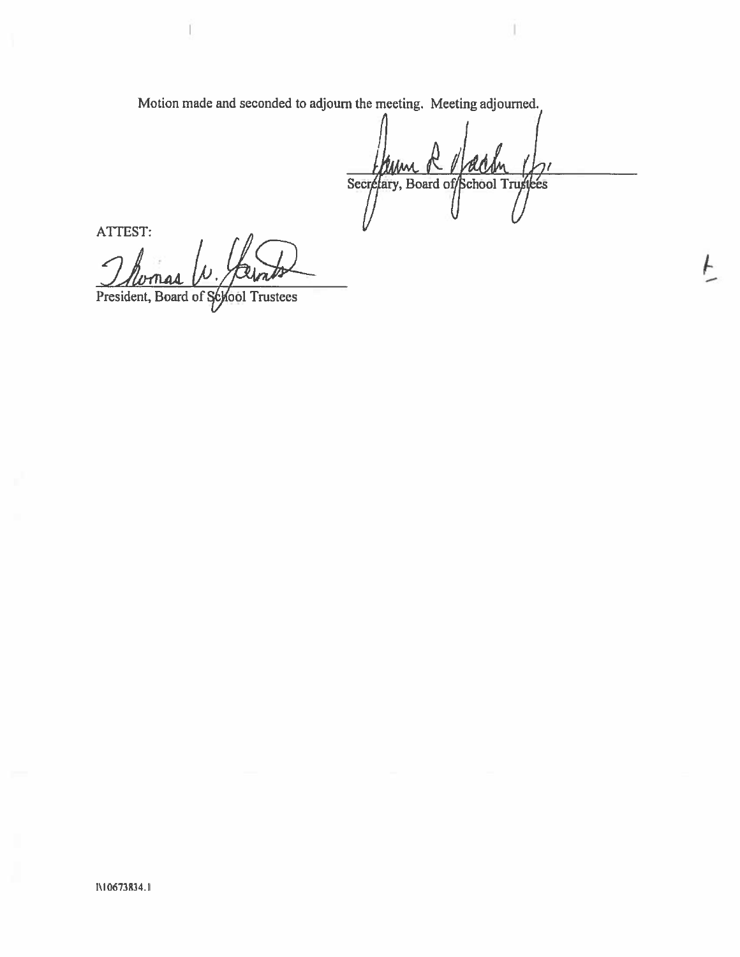Motion made and seconded to adjourn the meeting. Meeting adjourned.

Secretary, Board of School Trustees

ATTEST:

President, Board of School Trustees

I\10673834.1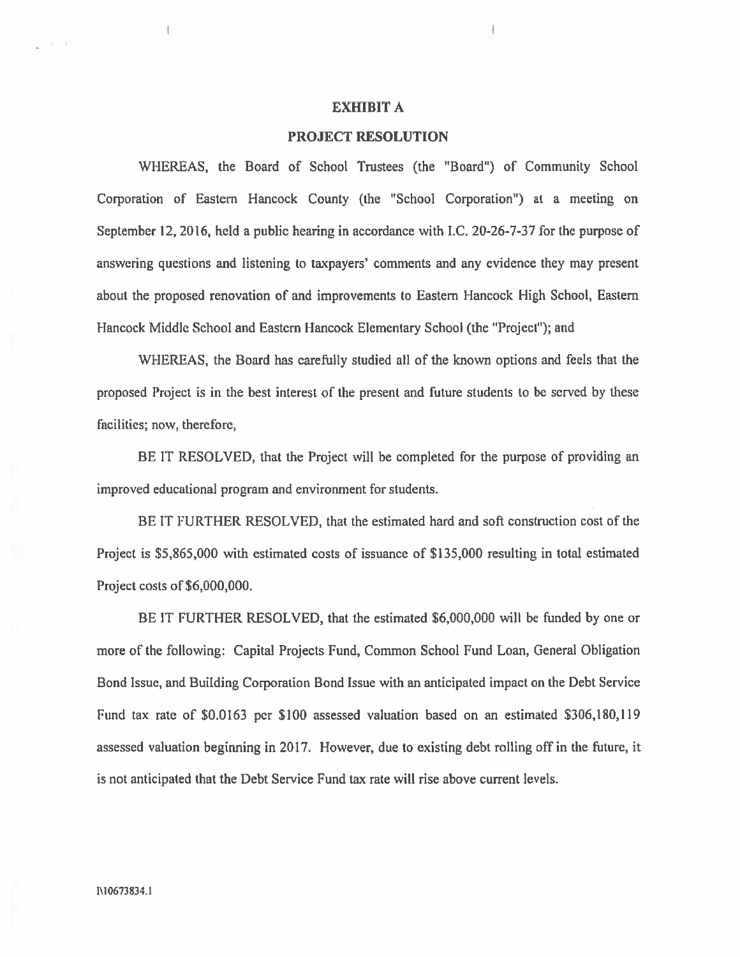### **EXHIBIT A**

#### **PROJECT RESOLUTION**

WHEREAS, the Board of School Trustees (the "Board") of Community School Corporation of Eastern Hancock County (the "School Corporation") at a meeting on September 12, 2016, held a public hearing in accordance with I.C. 20-26-7-37 for the purpose of answering questions and listening to taxpayers' comments and any evidence they may present about the proposed renovation of and improvements to Eastern Hancock High School, Eastern Hancock Middle School and Eastern Hancock Elementary School (the "Project"); and

WHEREAS, the Board has carefully studied all of the known options and feels that the proposed Project is in the best interest of the present and future students to be served by these facilities; now, therefore,

BE IT RESOLVED, that the Project will be completed for the purpose of providing an improved educational program and environment for students.

BE IT FURTHER RESOLVED, that the estimated hard and soft construction cost of the Project is \$5,865,000 with estimated costs of issuance of \$135,000 resulting in total estimated Project costs of \$6,000,000.

BE IT FURTHER RESOLVED, that the estimated \$6,000,000 will be funded by one or more of the following: Capital Projects Fund, Common School Fund Loan, General Obligation Bond Issue, and Building Corporation Bond Issue with an anticipated impact on the Debt Service Fund tax rate of \$0.0163 per \$100 assessed valuation based on an estimated \$306,180,119 assessed valuation beginning in 2017. However, due to existing debt rolling off in the future, it is not anticipated that the Debt Service Fund tax rate will rise above current levels.

 $A$  d'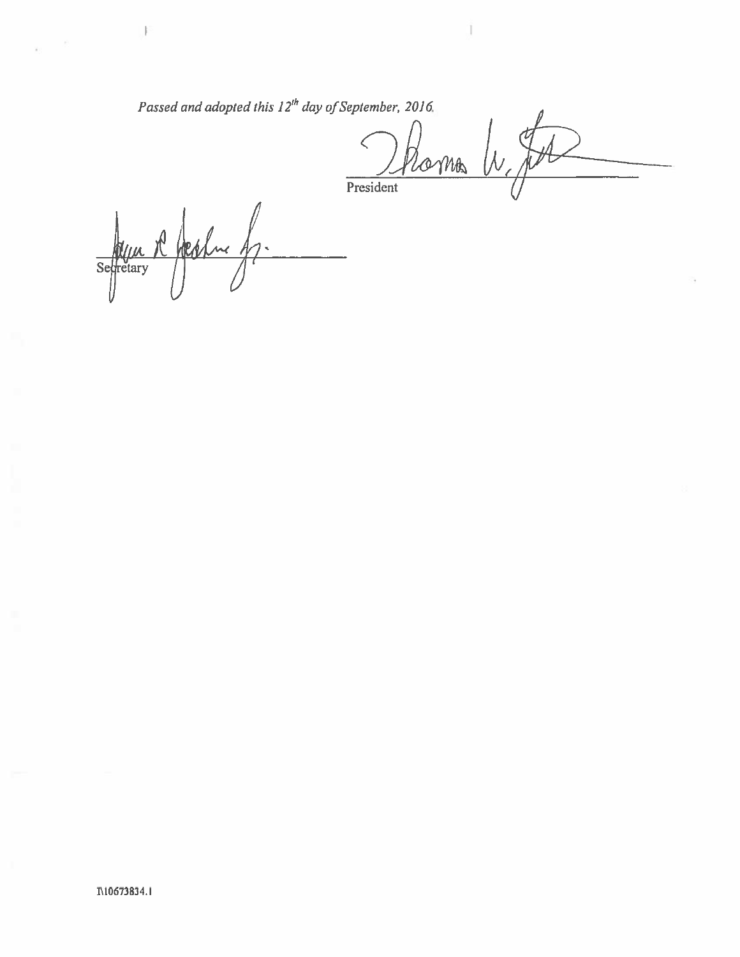Passed and adopted this 12<sup>th</sup> day of September, 2016.

Roma W. JA  $\, \zeta \,$ President

Seffretary Rhephu 47.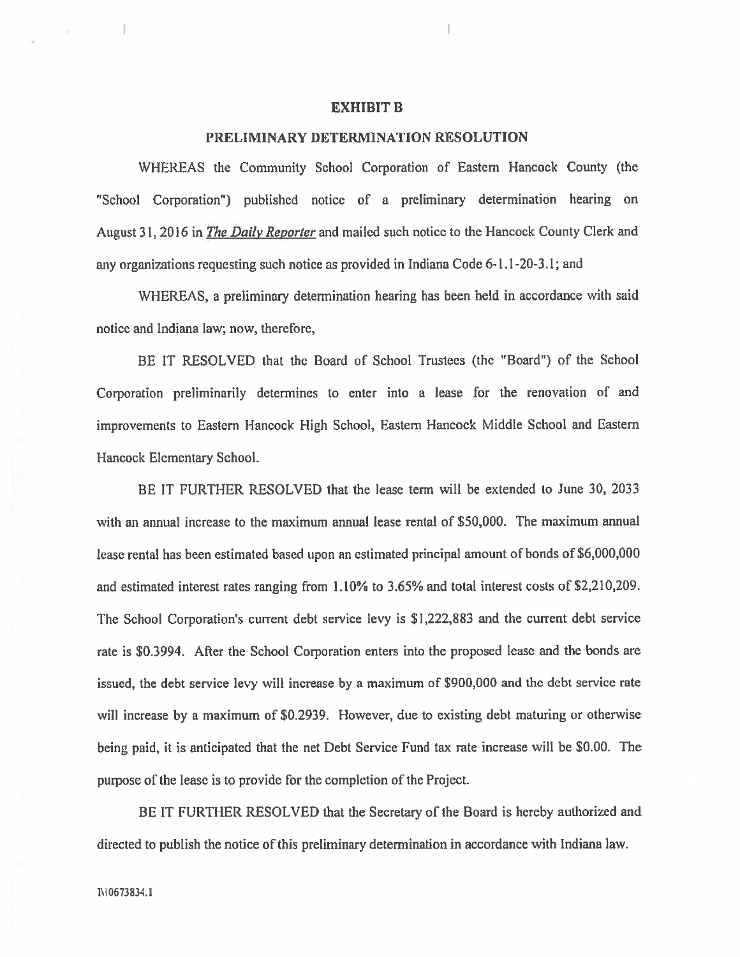#### **EXHIBIT B**

#### PRELIMINARY DETERMINATION RESOLUTION

WHEREAS the Community School Corporation of Eastern Hancock County (the "School Corporation") published notice of a preliminary determination hearing on August 31, 2016 in *The Daily Reporter* and mailed such notice to the Hancock County Clerk and any organizations requesting such notice as provided in Indiana Code 6-1.1-20-3.1; and

WHEREAS, a preliminary determination hearing has been held in accordance with said notice and Indiana law; now, therefore,

BE IT RESOLVED that the Board of School Trustees (the "Board") of the School Corporation preliminarily determines to enter into a lease for the renovation of and improvements to Eastern Hancock High School, Eastern Hancock Middle School and Eastern Hancock Elementary School.

BE IT FURTHER RESOLVED that the lease term will be extended to June 30, 2033 with an annual increase to the maximum annual lease rental of \$50,000. The maximum annual lease rental has been estimated based upon an estimated principal amount of bonds of \$6,000,000 and estimated interest rates ranging from 1.10% to 3.65% and total interest costs of \$2,210,209. The School Corporation's current debt service levy is \$1,222,883 and the current debt service rate is \$0.3994. After the School Corporation enters into the proposed lease and the bonds are issued, the debt service levy will increase by a maximum of \$900,000 and the debt service rate will increase by a maximum of \$0.2939. However, due to existing debt maturing or otherwise being paid, it is anticipated that the net Debt Service Fund tax rate increase will be \$0.00. The purpose of the lease is to provide for the completion of the Project.

BE IT FURTHER RESOLVED that the Secretary of the Board is hereby authorized and directed to publish the notice of this preliminary determination in accordance with Indiana law.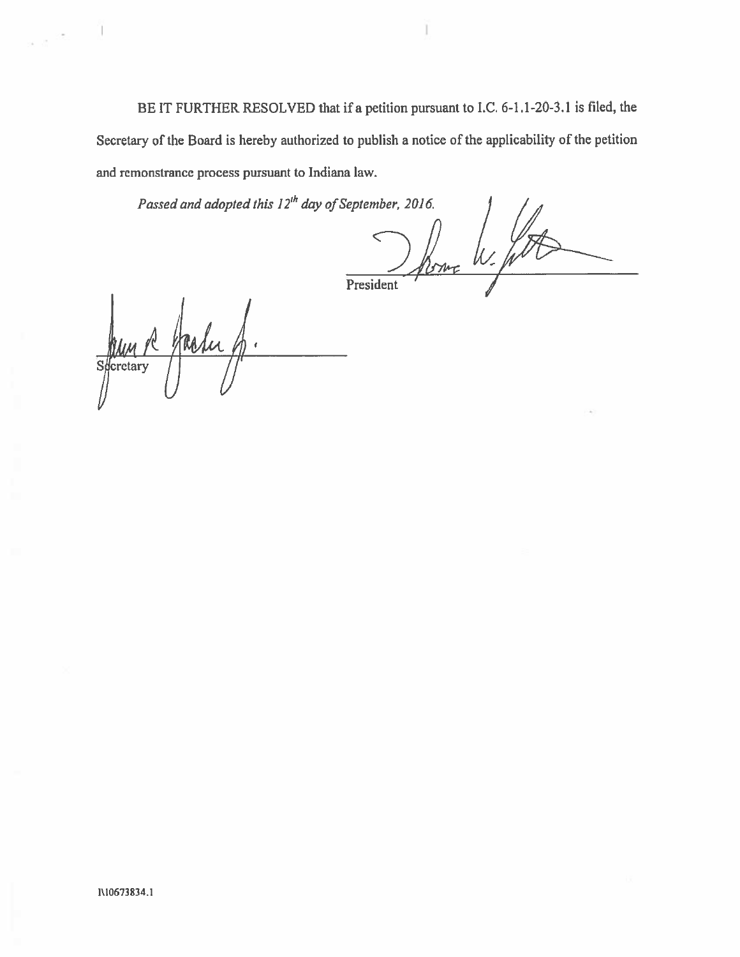BE IT FURTHER RESOLVED that if a petition pursuant to I.C. 6-1.1-20-3.1 is filed, the Secretary of the Board is hereby authorized to publish a notice of the applicability of the petition and remonstrance process pursuant to Indiana law.

Passed and adopted this 12<sup>th</sup> day of September, 2016.

Shown W. foto President

Jaun R Hasley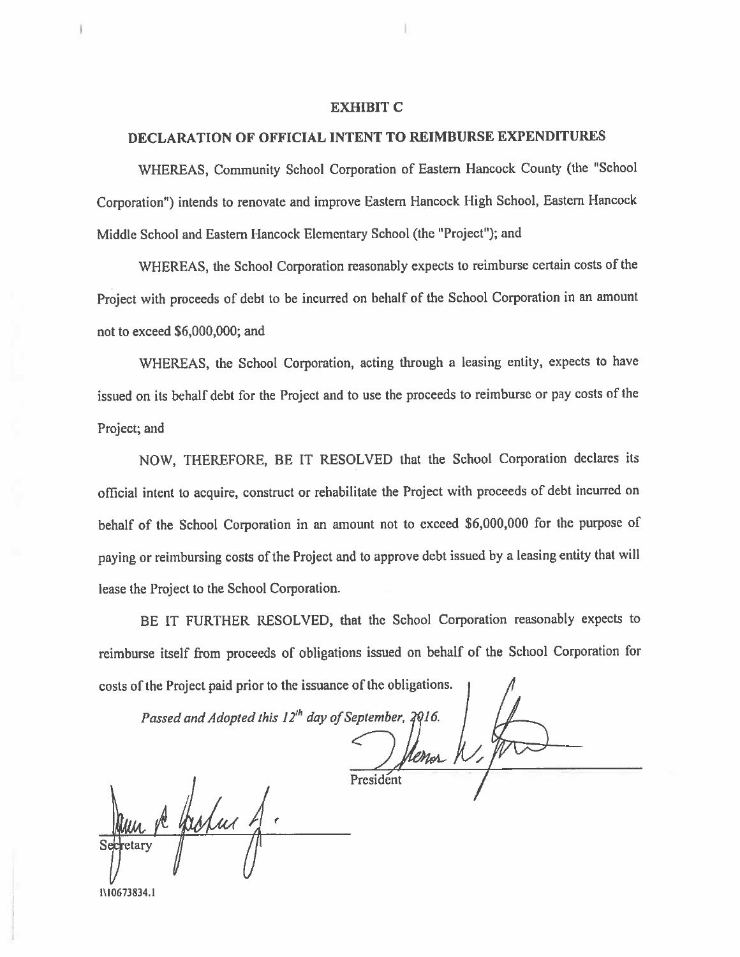#### **EXHIBIT C**

# DECLARATION OF OFFICIAL INTENT TO REIMBURSE EXPENDITURES

WHEREAS, Community School Corporation of Eastern Hancock County (the "School Corporation") intends to renovate and improve Eastern Hancock High School, Eastern Hancock Middle School and Eastern Hancock Elementary School (the "Project"); and

WHEREAS, the School Corporation reasonably expects to reimburse certain costs of the Project with proceeds of debt to be incurred on behalf of the School Corporation in an amount not to exceed \$6,000,000; and

WHEREAS, the School Corporation, acting through a leasing entity, expects to have issued on its behalf debt for the Project and to use the proceeds to reimburse or pay costs of the Project; and

NOW, THEREFORE, BE IT RESOLVED that the School Corporation declares its official intent to acquire, construct or rehabilitate the Project with proceeds of debt incurred on behalf of the School Corporation in an amount not to exceed \$6,000,000 for the purpose of paying or reimbursing costs of the Project and to approve debt issued by a leasing entity that will lease the Project to the School Corporation.

BE IT FURTHER RESOLVED, that the School Corporation reasonably expects to reimburse itself from proceeds of obligations issued on behalf of the School Corporation for costs of the Project paid prior to the issuance of the obligations.

Passed and Adopted this 12<sup>th</sup> day of September, 2016.

President

I\10673834.1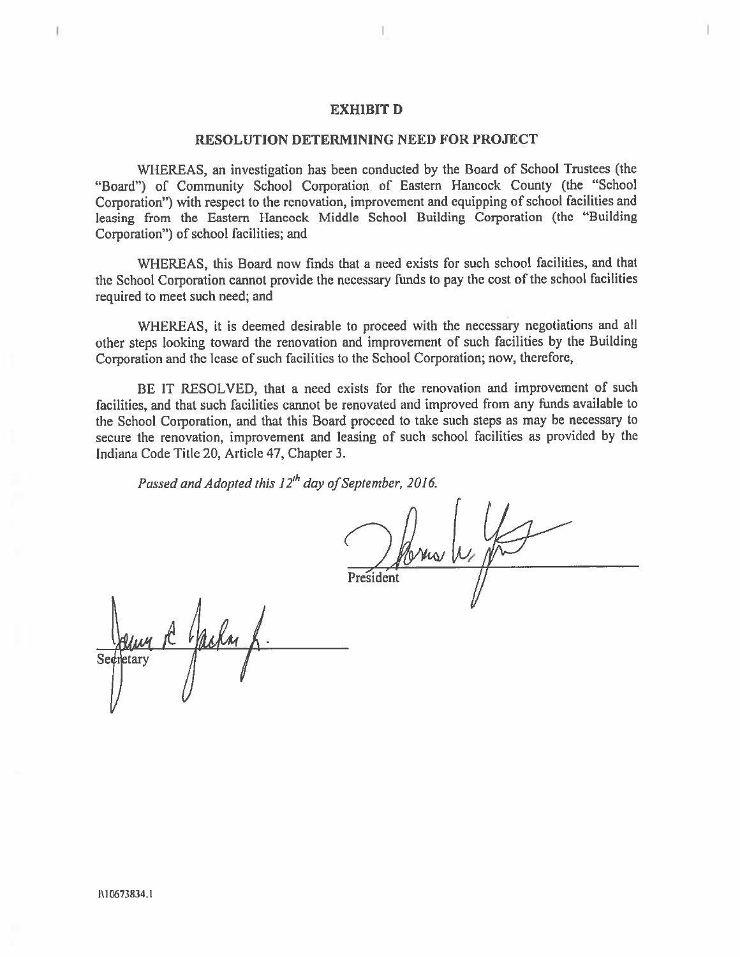#### **EXHIBIT D**

### RESOLUTION DETERMINING NEED FOR PROJECT

WHEREAS, an investigation has been conducted by the Board of School Trustees (the "Board") of Community School Corporation of Eastern Hancock County (the "School Corporation") with respect to the renovation, improvement and equipping of school facilities and leasing from the Eastern Hancock Middle School Building Corporation (the "Building Corporation") of school facilities; and

WHEREAS, this Board now finds that a need exists for such school facilities, and that the School Corporation cannot provide the necessary funds to pay the cost of the school facilities required to meet such need; and

WHEREAS, it is deemed desirable to proceed with the necessary negotiations and all other steps looking toward the renovation and improvement of such facilities by the Building Corporation and the lease of such facilities to the School Corporation; now, therefore,

BE IT RESOLVED, that a need exists for the renovation and improvement of such facilities, and that such facilities cannot be renovated and improved from any funds available to the School Corporation, and that this Board proceed to take such steps as may be necessary to secure the renovation, improvement and leasing of such school facilities as provided by the Indiana Code Title 20, Article 47, Chapter 3.

Passed and Adopted this 12<sup>th</sup> day of September, 2016.

Ma W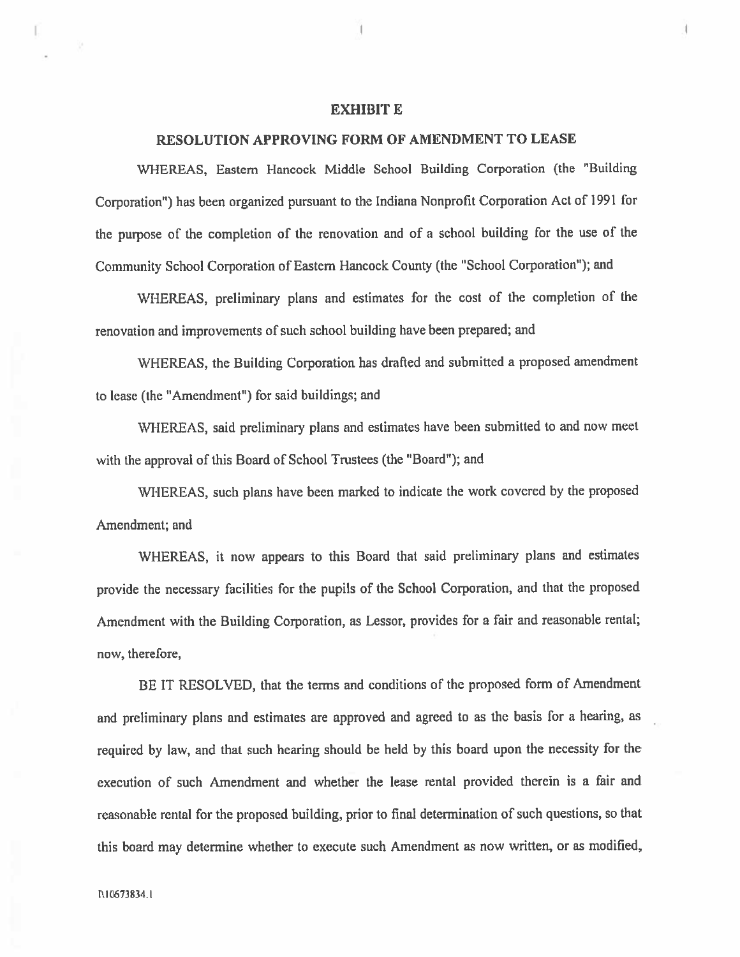#### **EXHIBIT E**

#### RESOLUTION APPROVING FORM OF AMENDMENT TO LEASE

WHEREAS, Eastern Hancock Middle School Building Corporation (the "Building Corporation") has been organized pursuant to the Indiana Nonprofit Corporation Act of 1991 for the purpose of the completion of the renovation and of a school building for the use of the Community School Corporation of Eastern Hancock County (the "School Corporation"); and

WHEREAS, preliminary plans and estimates for the cost of the completion of the renovation and improvements of such school building have been prepared; and

WHEREAS, the Building Corporation has drafted and submitted a proposed amendment to lease (the "Amendment") for said buildings; and

WHEREAS, said preliminary plans and estimates have been submitted to and now meet with the approval of this Board of School Trustees (the "Board"); and

WHEREAS, such plans have been marked to indicate the work covered by the proposed Amendment; and

WHEREAS, it now appears to this Board that said preliminary plans and estimates provide the necessary facilities for the pupils of the School Corporation, and that the proposed Amendment with the Building Corporation, as Lessor, provides for a fair and reasonable rental; now, therefore,

BE IT RESOLVED, that the terms and conditions of the proposed form of Amendment and preliminary plans and estimates are approved and agreed to as the basis for a hearing, as required by law, and that such hearing should be held by this board upon the necessity for the execution of such Amendment and whether the lease rental provided therein is a fair and reasonable rental for the proposed building, prior to final determination of such questions, so that this board may determine whether to execute such Amendment as now written, or as modified,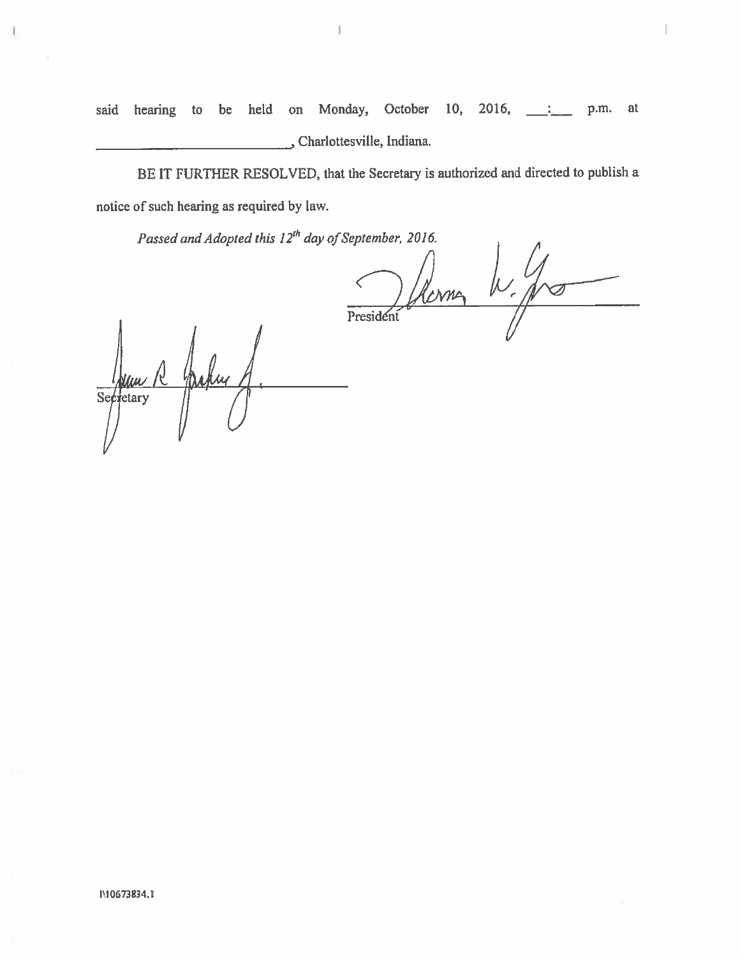Monday, October 10, 2016,  $\qquad \qquad$ said hearing to be held on p.m. at Charlottesville, Indiana.

BE IT FURTHER RESOLVED, that the Secretary is authorized and directed to publish a notice of such hearing as required by law.

Passed and Adopted this 12<sup>th</sup> day of September, 2016.

President W. from

Jaky  $\frac{1}{\sqrt{1-\frac{1}{c}}\sqrt{1-\frac{1}{c}}}}$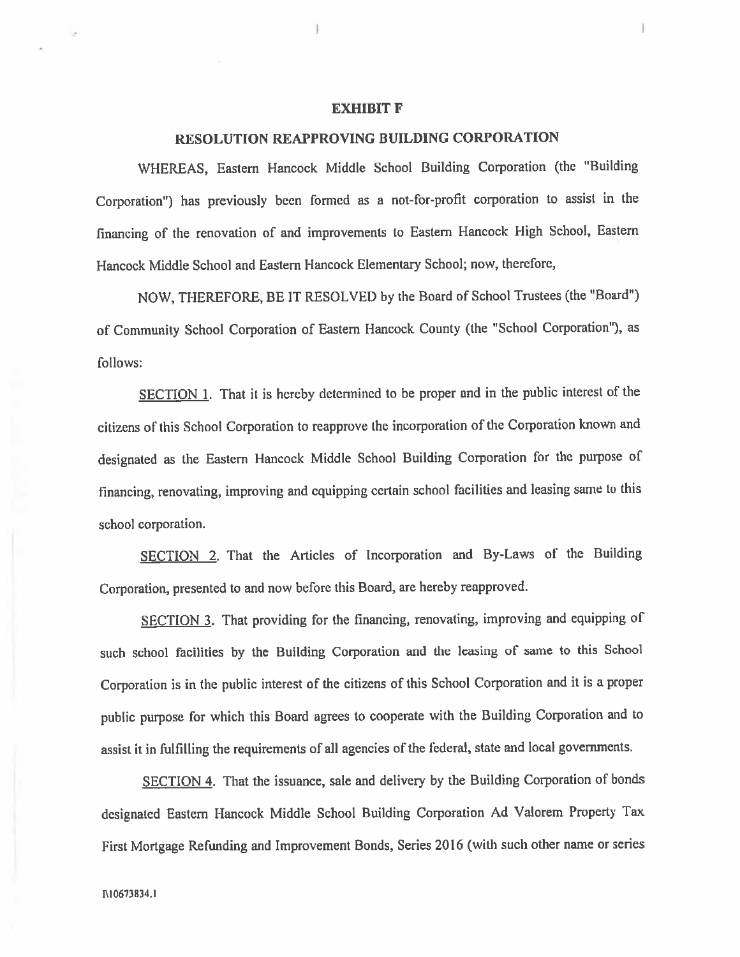#### **EXHIBIT F**

# RESOLUTION REAPPROVING BUILDING CORPORATION

WHEREAS, Eastern Hancock Middle School Building Corporation (the "Building Corporation") has previously been formed as a not-for-profit corporation to assist in the financing of the renovation of and improvements to Eastern Hancock High School, Eastern Hancock Middle School and Eastern Hancock Elementary School; now, therefore,

NOW, THEREFORE, BE IT RESOLVED by the Board of School Trustees (the "Board") of Community School Corporation of Eastern Hancock County (the "School Corporation"), as follows:

SECTION 1. That it is hereby determined to be proper and in the public interest of the citizens of this School Corporation to reapprove the incorporation of the Corporation known and designated as the Eastern Hancock Middle School Building Corporation for the purpose of financing, renovating, improving and equipping certain school facilities and leasing same to this school corporation.

SECTION 2. That the Articles of Incorporation and By-Laws of the Building Corporation, presented to and now before this Board, are hereby reapproved.

SECTION 3. That providing for the financing, renovating, improving and equipping of such school facilities by the Building Corporation and the leasing of same to this School Corporation is in the public interest of the citizens of this School Corporation and it is a proper public purpose for which this Board agrees to cooperate with the Building Corporation and to assist it in fulfilling the requirements of all agencies of the federal, state and local governments.

SECTION 4. That the issuance, sale and delivery by the Building Corporation of bonds designated Eastern Hancock Middle School Building Corporation Ad Valorem Property Tax First Mortgage Refunding and Improvement Bonds, Series 2016 (with such other name or series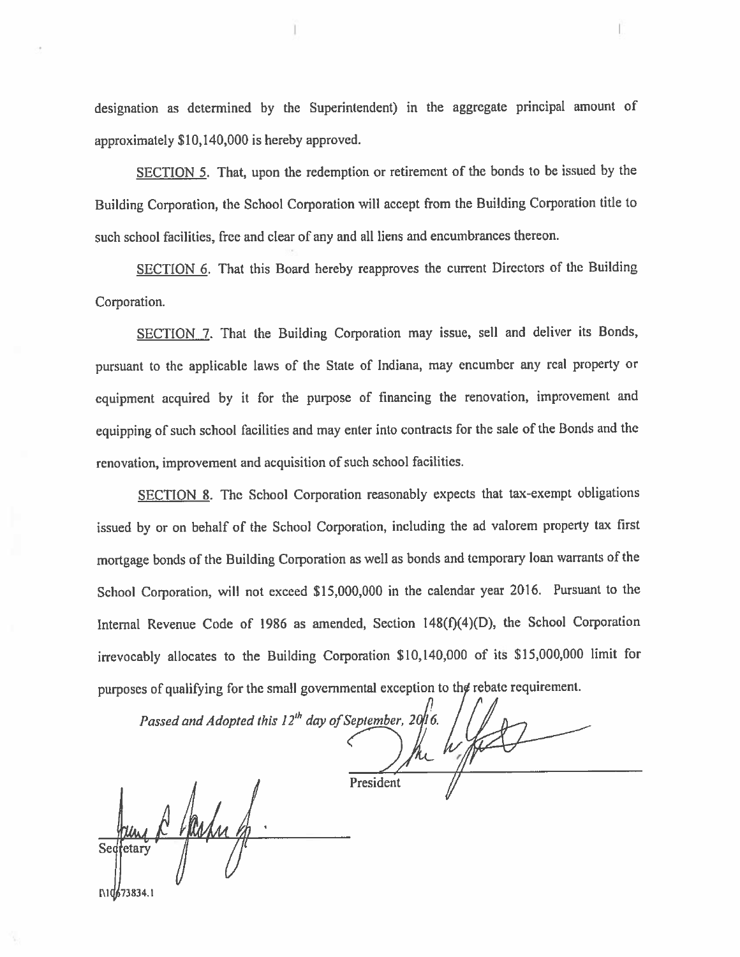designation as determined by the Superintendent) in the aggregate principal amount of approximately \$10,140,000 is hereby approved.

SECTION 5. That, upon the redemption or retirement of the bonds to be issued by the Building Corporation, the School Corporation will accept from the Building Corporation title to such school facilities, free and clear of any and all liens and encumbrances thereon.

SECTION 6. That this Board hereby reapproves the current Directors of the Building Corporation.

SECTION 7. That the Building Corporation may issue, sell and deliver its Bonds, pursuant to the applicable laws of the State of Indiana, may encumber any real property or equipment acquired by it for the purpose of financing the renovation, improvement and equipping of such school facilities and may enter into contracts for the sale of the Bonds and the renovation, improvement and acquisition of such school facilities.

SECTION 8. The School Corporation reasonably expects that tax-exempt obligations issued by or on behalf of the School Corporation, including the ad valorem property tax first mortgage bonds of the Building Corporation as well as bonds and temporary loan warrants of the School Corporation, will not exceed \$15,000,000 in the calendar year 2016. Pursuant to the Internal Revenue Code of 1986 as amended, Section 148(f)(4)(D), the School Corporation irrevocably allocates to the Building Corporation \$10,140,000 of its \$15,000,000 limit for purposes of qualifying for the small governmental exception to the rebate requirement.

Passed and Adopted this  $12^{th}$  day of September, 20/16. President

etar